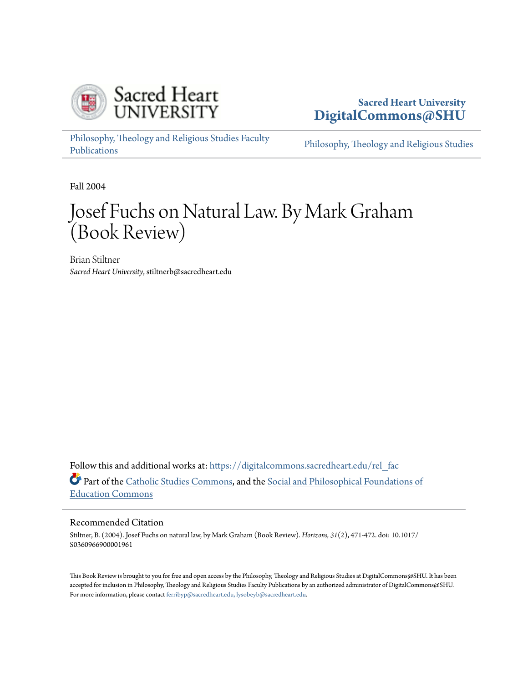

## **Sacred Heart University [DigitalCommons@SHU](https://digitalcommons.sacredheart.edu?utm_source=digitalcommons.sacredheart.edu%2Frel_fac%2F83&utm_medium=PDF&utm_campaign=PDFCoverPages)**

[Philosophy, Theology and Religious Studies Faculty](https://digitalcommons.sacredheart.edu/rel_fac?utm_source=digitalcommons.sacredheart.edu%2Frel_fac%2F83&utm_medium=PDF&utm_campaign=PDFCoverPages) [Publications](https://digitalcommons.sacredheart.edu/rel_fac?utm_source=digitalcommons.sacredheart.edu%2Frel_fac%2F83&utm_medium=PDF&utm_campaign=PDFCoverPages)

[Philosophy, Theology and Religious Studies](https://digitalcommons.sacredheart.edu/rel?utm_source=digitalcommons.sacredheart.edu%2Frel_fac%2F83&utm_medium=PDF&utm_campaign=PDFCoverPages)

Fall 2004

## Josef Fuchs on Natural Law. By Mark Graham (Book Review)

Brian Stiltner *Sacred Heart University*, stiltnerb@sacredheart.edu

Follow this and additional works at: [https://digitalcommons.sacredheart.edu/rel\\_fac](https://digitalcommons.sacredheart.edu/rel_fac?utm_source=digitalcommons.sacredheart.edu%2Frel_fac%2F83&utm_medium=PDF&utm_campaign=PDFCoverPages) Part of the [Catholic Studies Commons,](http://network.bepress.com/hgg/discipline/1294?utm_source=digitalcommons.sacredheart.edu%2Frel_fac%2F83&utm_medium=PDF&utm_campaign=PDFCoverPages) and the [Social and Philosophical Foundations of](http://network.bepress.com/hgg/discipline/799?utm_source=digitalcommons.sacredheart.edu%2Frel_fac%2F83&utm_medium=PDF&utm_campaign=PDFCoverPages) [Education Commons](http://network.bepress.com/hgg/discipline/799?utm_source=digitalcommons.sacredheart.edu%2Frel_fac%2F83&utm_medium=PDF&utm_campaign=PDFCoverPages)

## Recommended Citation

Stiltner, B. (2004). Josef Fuchs on natural law, by Mark Graham (Book Review). *Horizons, 31*(2), 471-472. doi: 10.1017/ S0360966900001961

This Book Review is brought to you for free and open access by the Philosophy, Theology and Religious Studies at DigitalCommons@SHU. It has been accepted for inclusion in Philosophy, Theology and Religious Studies Faculty Publications by an authorized administrator of DigitalCommons@SHU. For more information, please contact [ferribyp@sacredheart.edu, lysobeyb@sacredheart.edu.](mailto:ferribyp@sacredheart.edu,%20lysobeyb@sacredheart.edu)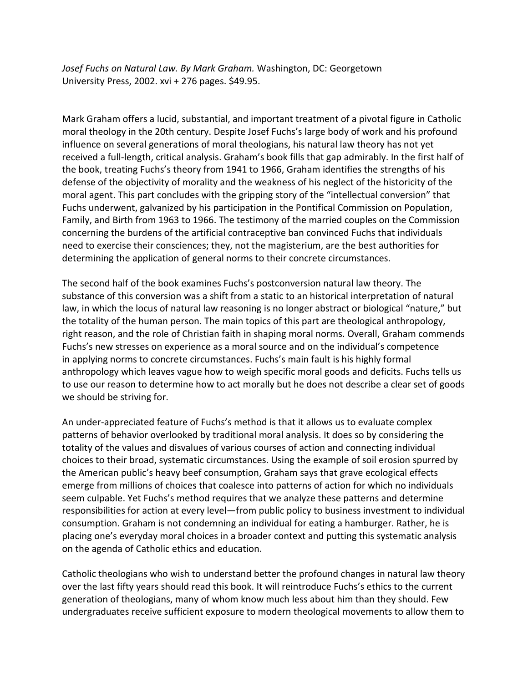Josef Fuchs on Natural Law. By Mark Graham. Washington, DC: Georgetown University Press, 2002. xvi + 276 pages. \$49.95.

Mark Graham offers a lucid, substantial, and important treatment of a pivotal figure in Catholic moral theology in the 20th century. Despite Josef Fuchs's large body of work and his profound influence on several generations of moral theologians, his natural law theory has not yet received a full-length, critical analysis. Graham's book fills that gap admirably. In the first half of the book, treating Fuchs's theory from 1941 to 1966, Graham identifies the strengths of his defense of the objectivity of morality and the weakness of his neglect of the historicity of the moral agent. This part concludes with the gripping story of the "intellectual conversion" that Fuchs underwent, galvanized by his participation in the Pontifical Commission on Population, Family, and Birth from 1963 to 1966. The testimony of the married couples on the Commission concerning the burdens of the artificial contraceptive ban convinced Fuchs that individuals need to exercise their consciences; they, not the magisterium, are the best authorities for determining the application of general norms to their concrete circumstances.

The second half of the book examines Fuchs's postconversion natural law theory. The substance of this conversion was a shift from a static to an historical interpretation of natural law, in which the locus of natural law reasoning is no longer abstract or biological "nature," but the totality of the human person. The main topics of this part are theological anthropology, right reason, and the role of Christian faith in shaping moral norms. Overall, Graham commends Fuchs's new stresses on experience as a moral source and on the individual's competence in applying norms to concrete circumstances. Fuchs's main fault is his highly formal anthropology which leaves vague how to weigh specific moral goods and deficits. Fuchs tells us to use our reason to determine how to act morally but he does not describe a clear set of goods we should be striving for.

An under-appreciated feature of Fuchs's method is that it allows us to evaluate complex patterns of behavior overlooked by traditional moral analysis. It does so by considering the totality of the values and disvalues of various courses of action and connecting individual choices to their broad, systematic circumstances. Using the example of soil erosion spurred by the American public's heavy beef consumption, Graham says that grave ecological effects emerge from millions of choices that coalesce into patterns of action for which no individuals seem culpable. Yet Fuchs's method requires that we analyze these patterns and determine responsibilities for action at every level—from public policy to business investment to individual consumption. Graham is not condemning an individual for eating a hamburger. Rather, he is placing one's everyday moral choices in a broader context and putting this systematic analysis on the agenda of Catholic ethics and education.

Catholic theologians who wish to understand better the profound changes in natural law theory over the last fifty years should read this book. It will reintroduce Fuchs's ethics to the current generation of theologians, many of whom know much less about him than they should. Few undergraduates receive sufficient exposure to modern theological movements to allow them to